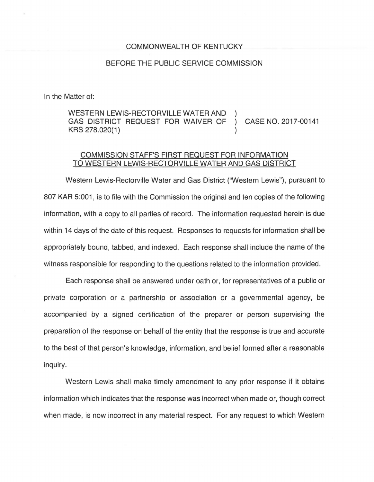## COMMONWEALTH OF KENTUCKY

## BEFORE THE PUBLIC SERVICE COMMISSION

In the Matter of:

WESTERN LEWIS-RECTORVILLE WATER AND ) GAS DISTRICT REQUEST FOR WAIVER OF ) CASE NO. 2017-00141 KRS 278.020(1) )

## COMMISSION STAFF'S FIRST REQUEST FOR INFORMATION TO WESTERN LEWIS-RECTORVILLE WATER AND GAS DISTRICT

Western Lewis-Rectorville Water and Gas District ("Western Lewis"), pursuant to 807 KAR 5:001, is to file with the Commission the original and ten copies of the following information, with a copy to all parties of record. The information requested herein is due within 14 days of the date of this request. Responses to requests for information shall be appropriately bound, tabbed, and indexed. Each response shall include the name of the witness responsible for responding to the questions related to the information provided.

Each response shall be answered under oath or, for representatives of a public or private corporation or a partnership or association or a governmental agency, be accompanied by a signed certification of the preparer or person supervising the preparation of the response on behalf of the entity that the response is true and accurate to the best of that person's knowledge, information, and belief formed after a reasonable inquiry.

Western Lewis shall make timely amendment to any prior response if it obtains information which indicates that the response was incorrect when made or, though correct when made, is now incorrect in any material respect. For any request to which Western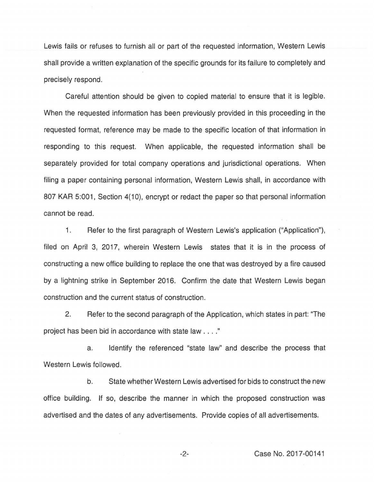Lewis fails or refuses to furnish all or part of the requested information, Western Lewis shall provide a written explanation of the specific grounds for its failure to completely and precisely respond.

Careful attention should be given to copied material to ensure that it is legible. When the requested information has been previously provided in this proceeding in the requested format, reference may be made to the specific location of that information in responding to this request. When applicable, the requested information shall be separately provided for total company operations and jurisdictional operations. When filing a paper containing personal information, Western Lewis shall, in accordance with 807 KAR 5:001, Section 4(10), encrypt or redact the paper so that personal information cannot be read.

1. Refer to the first paragraph of Western Lewis's application ("Application"), filed on April 3, 2017, wherein Western Lewis states that it is in the process of constructing a new office building to replace the one that was destroyed by a fire caused by a lightning strike in September 2016. Confirm the date that Western Lewis began construction and the current status of construction.

2. Refer to the second paragraph of the Application, which states in part: "The project has been bid in accordance with state law .... "

a. Identify the referenced "state law" and describe the process that Western Lewis followed.

b. State whether Western Lewis advertised for bids to construct the new office building. If so, describe the manner in which the proposed construction was advertised and the dates of any advertisements. Provide copies of all advertisements.

-2- Case No. 2017-00141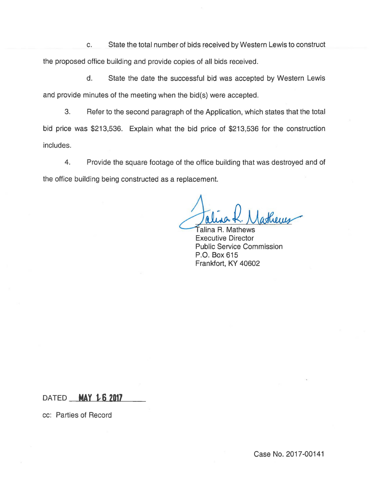c. State the total number of bids received by Western Lewis to construct the proposed office building and provide copies of all bids received.

d. State the date the successful bid was accepted by Western Lewis and provide minutes of the meeting when the bid(s) were accepted.

3. Refer to the second paragraph of the Application, which states that the total bid price was \$213,536. Explain what the bid price of \$213,536 for the construction includes.

4. Provide the square footage of the office building that was destroyed and of the office building being constructed as a replacement.

Talina R. Mathews Executive Director Public Service Commission P.O. Box 615 Frankfort, KY 40602

DATED **MAY t6 2017** 

cc: Parties of Record